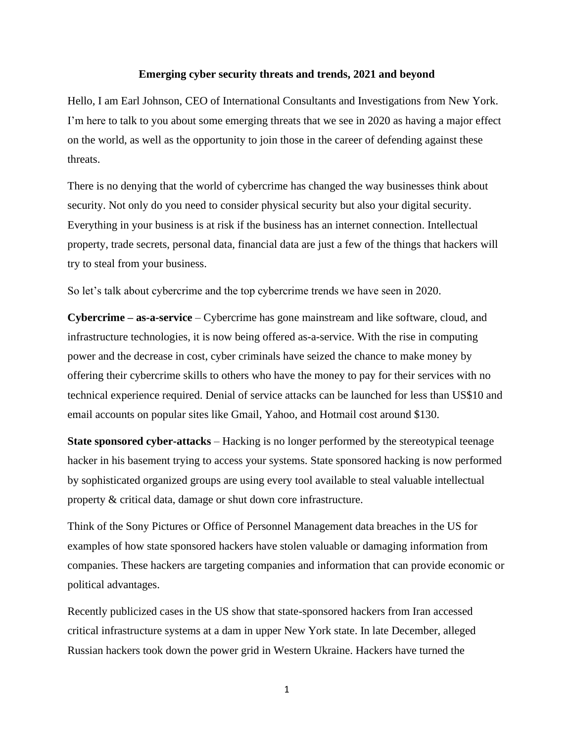## **Emerging cyber security threats and trends, 2021 and beyond**

Hello, I am Earl Johnson, CEO of International Consultants and Investigations from New York. I'm here to talk to you about some emerging threats that we see in 2020 as having a major effect on the world, as well as the opportunity to join those in the career of defending against these threats.

There is no denying that the world of cybercrime has changed the way businesses think about security. Not only do you need to consider physical security but also your digital security. Everything in your business is at risk if the business has an internet connection. Intellectual property, trade secrets, personal data, financial data are just a few of the things that hackers will try to steal from your business.

So let's talk about cybercrime and the top cybercrime trends we have seen in 2020.

**Cybercrime – as-a-service** – Cybercrime has gone mainstream and like software, cloud, and infrastructure technologies, it is now being offered as-a-service. With the rise in computing power and the decrease in cost, cyber criminals have seized the chance to make money by offering their cybercrime skills to others who have the money to pay for their services with no technical experience required. Denial of service attacks can be launched for less than US\$10 and email accounts on popular sites like Gmail, Yahoo, and Hotmail cost around \$130.

**State sponsored cyber-attacks** – Hacking is no longer performed by the stereotypical teenage hacker in his basement trying to access your systems. State sponsored hacking is now performed by sophisticated organized groups are using every tool available to steal valuable intellectual property & critical data, damage or shut down core infrastructure.

Think of the Sony Pictures or Office of Personnel Management data breaches in the US for examples of how state sponsored hackers have stolen valuable or damaging information from companies. These hackers are targeting companies and information that can provide economic or political advantages.

Recently publicized cases in the US show that state-sponsored hackers from Iran accessed critical infrastructure systems at a dam in upper New York state. In late December, alleged Russian hackers took down the power grid in Western Ukraine. Hackers have turned the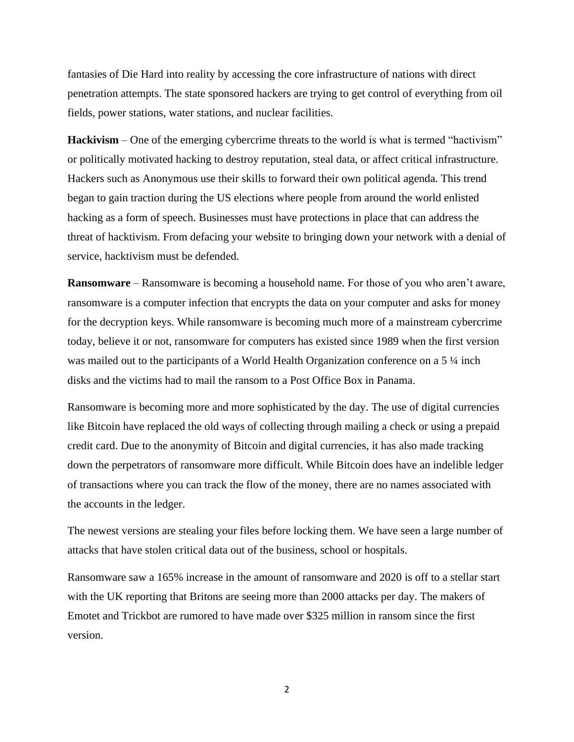fantasies of Die Hard into reality by accessing the core infrastructure of nations with direct penetration attempts. The state sponsored hackers are trying to get control of everything from oil fields, power stations, water stations, and nuclear facilities.

**Hackivism** – One of the emerging cybercrime threats to the world is what is termed "hactivism" or politically motivated hacking to destroy reputation, steal data, or affect critical infrastructure. Hackers such as Anonymous use their skills to forward their own political agenda. This trend began to gain traction during the US elections where people from around the world enlisted hacking as a form of speech. Businesses must have protections in place that can address the threat of hacktivism. From defacing your website to bringing down your network with a denial of service, hacktivism must be defended.

**Ransomware** – Ransomware is becoming a household name. For those of you who aren't aware, ransomware is a computer infection that encrypts the data on your computer and asks for money for the decryption keys. While ransomware is becoming much more of a mainstream cybercrime today, believe it or not, ransomware for computers has existed since 1989 when the first version was mailed out to the participants of a World Health Organization conference on a 5  $\frac{1}{4}$  inch disks and the victims had to mail the ransom to a Post Office Box in Panama.

Ransomware is becoming more and more sophisticated by the day. The use of digital currencies like Bitcoin have replaced the old ways of collecting through mailing a check or using a prepaid credit card. Due to the anonymity of Bitcoin and digital currencies, it has also made tracking down the perpetrators of ransomware more difficult. While Bitcoin does have an indelible ledger of transactions where you can track the flow of the money, there are no names associated with the accounts in the ledger.

The newest versions are stealing your files before locking them. We have seen a large number of attacks that have stolen critical data out of the business, school or hospitals.

Ransomware saw a 165% increase in the amount of ransomware and 2020 is off to a stellar start with the UK reporting that Britons are seeing more than 2000 attacks per day. The makers of Emotet and Trickbot are rumored to have made over \$325 million in ransom since the first version.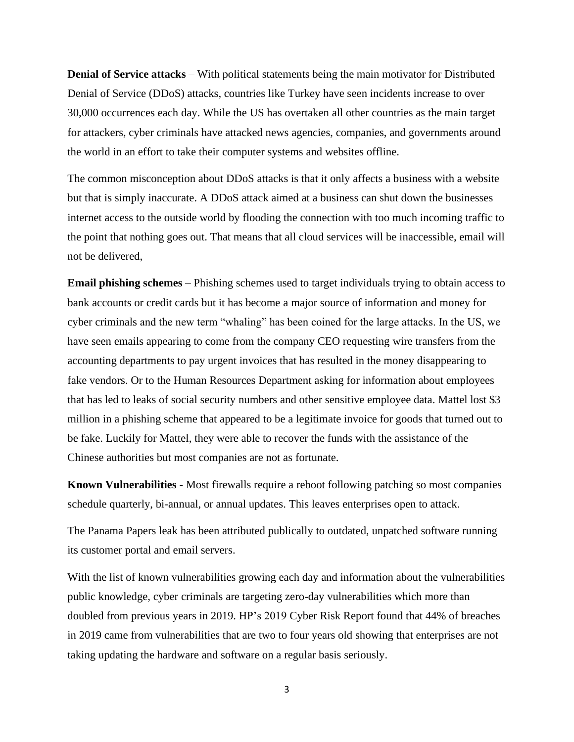**Denial of Service attacks** – With political statements being the main motivator for Distributed Denial of Service (DDoS) attacks, countries like Turkey have seen incidents increase to over 30,000 occurrences each day. While the US has overtaken all other countries as the main target for attackers, cyber criminals have attacked news agencies, companies, and governments around the world in an effort to take their computer systems and websites offline.

The common misconception about DDoS attacks is that it only affects a business with a website but that is simply inaccurate. A DDoS attack aimed at a business can shut down the businesses internet access to the outside world by flooding the connection with too much incoming traffic to the point that nothing goes out. That means that all cloud services will be inaccessible, email will not be delivered,

**Email phishing schemes** – Phishing schemes used to target individuals trying to obtain access to bank accounts or credit cards but it has become a major source of information and money for cyber criminals and the new term "whaling" has been coined for the large attacks. In the US, we have seen emails appearing to come from the company CEO requesting wire transfers from the accounting departments to pay urgent invoices that has resulted in the money disappearing to fake vendors. Or to the Human Resources Department asking for information about employees that has led to leaks of social security numbers and other sensitive employee data. Mattel lost \$3 million in a phishing scheme that appeared to be a legitimate invoice for goods that turned out to be fake. Luckily for Mattel, they were able to recover the funds with the assistance of the Chinese authorities but most companies are not as fortunate.

**Known Vulnerabilities** - Most firewalls require a reboot following patching so most companies schedule quarterly, bi-annual, or annual updates. This leaves enterprises open to attack.

The Panama Papers leak has been attributed publically to outdated, unpatched software running its customer portal and email servers.

With the list of known vulnerabilities growing each day and information about the vulnerabilities public knowledge, cyber criminals are targeting zero-day vulnerabilities which more than doubled from previous years in 2019. HP's 2019 Cyber Risk Report found that 44% of breaches in 2019 came from vulnerabilities that are two to four years old showing that enterprises are not taking updating the hardware and software on a regular basis seriously.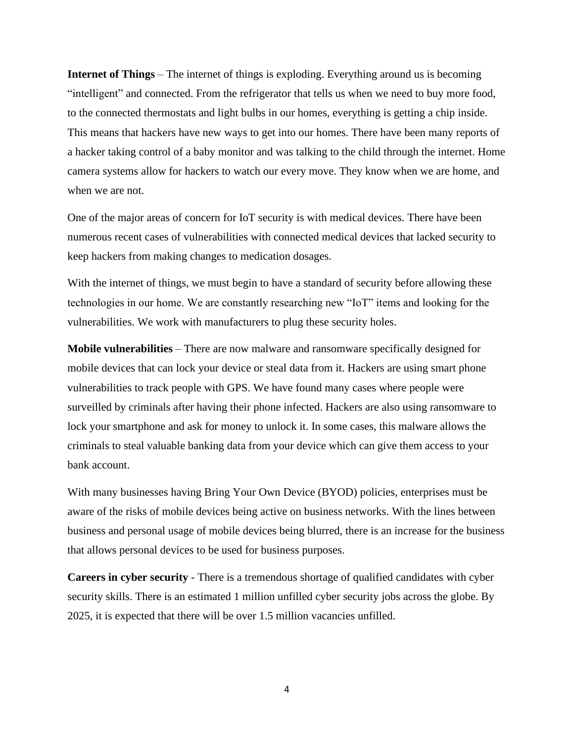**Internet of Things** – The internet of things is exploding. Everything around us is becoming "intelligent" and connected. From the refrigerator that tells us when we need to buy more food, to the connected thermostats and light bulbs in our homes, everything is getting a chip inside. This means that hackers have new ways to get into our homes. There have been many reports of a hacker taking control of a baby monitor and was talking to the child through the internet. Home camera systems allow for hackers to watch our every move. They know when we are home, and when we are not.

One of the major areas of concern for IoT security is with medical devices. There have been numerous recent cases of vulnerabilities with connected medical devices that lacked security to keep hackers from making changes to medication dosages.

With the internet of things, we must begin to have a standard of security before allowing these technologies in our home. We are constantly researching new "IoT" items and looking for the vulnerabilities. We work with manufacturers to plug these security holes.

**Mobile vulnerabilities** – There are now malware and ransomware specifically designed for mobile devices that can lock your device or steal data from it. Hackers are using smart phone vulnerabilities to track people with GPS. We have found many cases where people were surveilled by criminals after having their phone infected. Hackers are also using ransomware to lock your smartphone and ask for money to unlock it. In some cases, this malware allows the criminals to steal valuable banking data from your device which can give them access to your bank account.

With many businesses having Bring Your Own Device (BYOD) policies, enterprises must be aware of the risks of mobile devices being active on business networks. With the lines between business and personal usage of mobile devices being blurred, there is an increase for the business that allows personal devices to be used for business purposes.

**Careers in cyber security** - There is a tremendous shortage of qualified candidates with cyber security skills. There is an estimated 1 million unfilled cyber security jobs across the globe. By 2025, it is expected that there will be over 1.5 million vacancies unfilled.